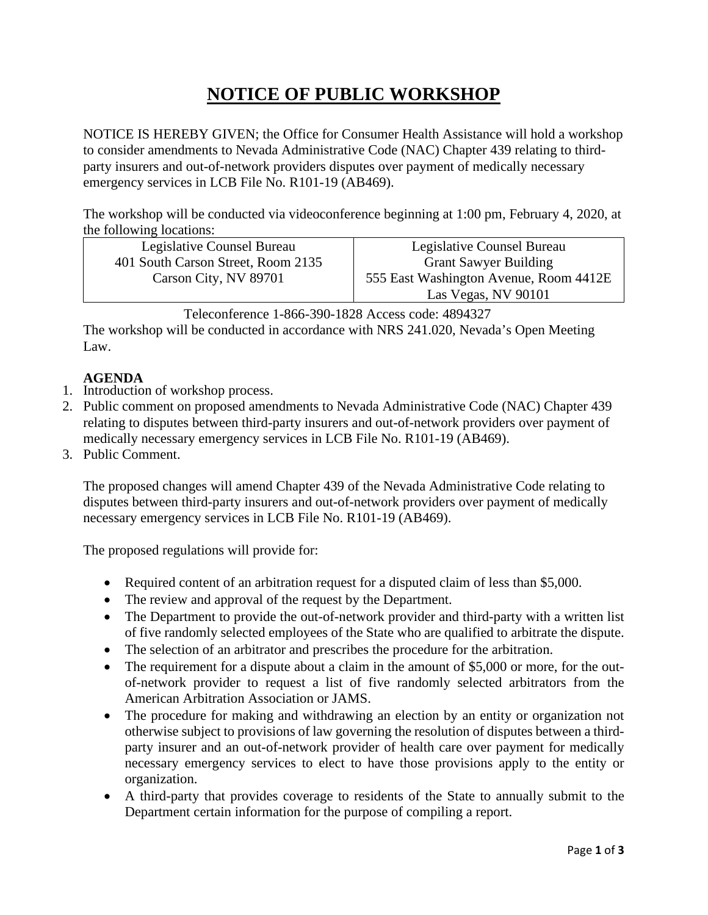# **NOTICE OF PUBLIC WORKSHOP**

NOTICE IS HEREBY GIVEN; the Office for Consumer Health Assistance will hold a workshop to consider amendments to Nevada Administrative Code (NAC) Chapter 439 relating to thirdparty insurers and out-of-network providers disputes over payment of medically necessary emergency services in LCB File No. R101-19 (AB469).

The workshop will be conducted via videoconference beginning at 1:00 pm, February 4, 2020, at the following locations:

| Legislative Counsel Bureau         | Legislative Counsel Bureau             |
|------------------------------------|----------------------------------------|
| 401 South Carson Street, Room 2135 | <b>Grant Sawyer Building</b>           |
| Carson City, NV 89701              | 555 East Washington Avenue, Room 4412E |
|                                    | Las Vegas, NV 90101                    |

Teleconference 1-866-390-1828 Access code: 4894327

The workshop will be conducted in accordance with NRS 241.020, Nevada's Open Meeting Law.

## **AGENDA**

- 1. Introduction of workshop process.
- 2. Public comment on proposed amendments to Nevada Administrative Code (NAC) Chapter 439 relating to disputes between third-party insurers and out-of-network providers over payment of medically necessary emergency services in LCB File No. R101-19 (AB469).
- 3. Public Comment.

The proposed changes will amend Chapter 439 of the Nevada Administrative Code relating to disputes between third-party insurers and out-of-network providers over payment of medically necessary emergency services in LCB File No. R101-19 (AB469).

The proposed regulations will provide for:

- Required content of an arbitration request for a disputed claim of less than \$5,000.
- The review and approval of the request by the Department.
- The Department to provide the out-of-network provider and third-party with a written list of five randomly selected employees of the State who are qualified to arbitrate the dispute.
- The selection of an arbitrator and prescribes the procedure for the arbitration.
- The requirement for a dispute about a claim in the amount of \$5,000 or more, for the outof-network provider to request a list of five randomly selected arbitrators from the American Arbitration Association or JAMS.
- The procedure for making and withdrawing an election by an entity or organization not otherwise subject to provisions of law governing the resolution of disputes between a thirdparty insurer and an out-of-network provider of health care over payment for medically necessary emergency services to elect to have those provisions apply to the entity or organization.
- A third-party that provides coverage to residents of the State to annually submit to the Department certain information for the purpose of compiling a report.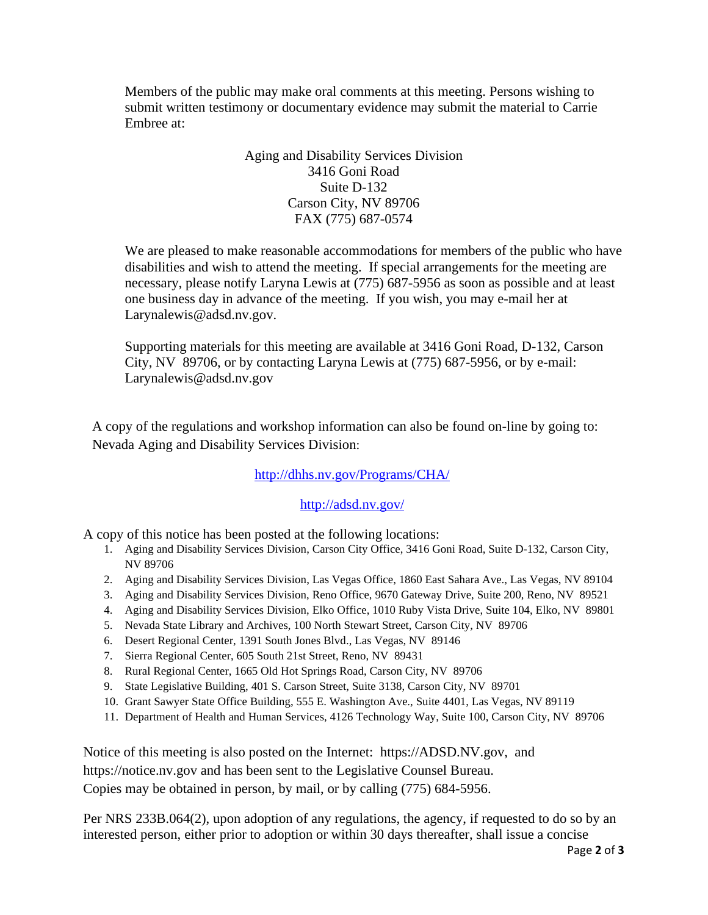Members of the public may make oral comments at this meeting. Persons wishing to submit written testimony or documentary evidence may submit the material to Carrie Embree at:

#### Aging and Disability Services Division 3416 Goni Road Suite D-132 Carson City, NV 89706 FAX (775) 687-0574

We are pleased to make reasonable accommodations for members of the public who have disabilities and wish to attend the meeting. If special arrangements for the meeting are necessary, please notify Laryna Lewis at (775) 687-5956 as soon as possible and at least one business day in advance of the meeting. If you wish, you may e-mail her at [Larynalewis@adsd.nv.gov.](mailto:Larynalewis@adsd.nv.gov)

Supporting materials for this meeting are available at 3416 Goni Road, D-132, Carson City, NV 89706, or by contacting Laryna Lewis at (775) 687-5956, or by e-mail: [Larynalewis@adsd.nv.gov](mailto:Larynalewis@adsd.nv.gov) 

A copy of the regulations and workshop information can also be found on-line by going to: Nevada Aging and Disability Services Division:

### <http://dhhs.nv.gov/Programs/CHA/>

#### <http://adsd.nv.gov/>

A copy of this notice has been posted at the following locations:

- 1. Aging and Disability Services Division, Carson City Office, 3416 Goni Road, Suite D-132, Carson City, NV 89706
- 2. Aging and Disability Services Division, Las Vegas Office, 1860 East Sahara Ave., Las Vegas, NV 89104
- 3. Aging and Disability Services Division, Reno Office, 9670 Gateway Drive, Suite 200, Reno, NV 89521
- 4. Aging and Disability Services Division, Elko Office, 1010 Ruby Vista Drive, Suite 104, Elko, NV 89801
- 5. Nevada State Library and Archives, 100 North Stewart Street, Carson City, NV 89706
- 6. Desert Regional Center, 1391 South Jones Blvd., Las Vegas, NV 89146
- 7. Sierra Regional Center, 605 South 21st Street, Reno, NV 89431
- 8. Rural Regional Center, 1665 Old Hot Springs Road, Carson City, NV 89706
- 9. State Legislative Building, 401 S. Carson Street, Suite 3138, Carson City, NV 89701
- 10. Grant Sawyer State Office Building, 555 E. Washington Ave., Suite 4401, Las Vegas, NV 89119
- 11. Department of Health and Human Services, 4126 Technology Way, Suite 100, Carson City, NV 89706

Notice of this meeting is also posted on the Internet: [https://ADSD.NV.gov,](https://adsd.nv.gov/) and [https://notice.nv.gov](https://notice.nv.gov/) and has been sent to the Legislative Counsel Bureau. Copies may be obtained in person, by mail, or by calling (775) 684-5956.

Per NRS 233B.064(2), upon adoption of any regulations, the agency, if requested to do so by an interested person, either prior to adoption or within 30 days thereafter, shall issue a concise